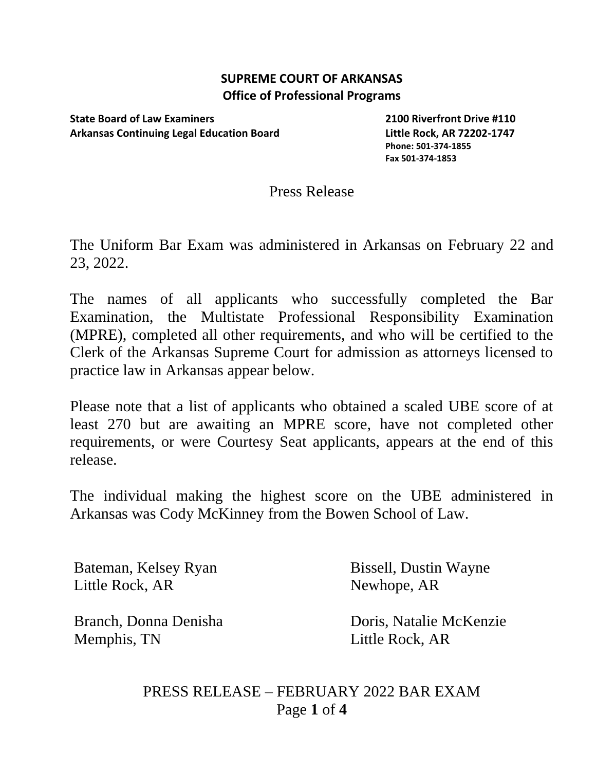## **SUPREME COURT OF ARKANSAS Office of Professional Programs**

**State Board of Law Examiners 2100 Riverfront Drive #110 Arkansas Continuing Legal Education Board Little Rock, AR 72202-1747**

**Phone: 501-374-1855 Fax 501-374-1853**

## Press Release

The Uniform Bar Exam was administered in Arkansas on February 22 and 23, 2022.

The names of all applicants who successfully completed the Bar Examination, the Multistate Professional Responsibility Examination (MPRE), completed all other requirements, and who will be certified to the Clerk of the Arkansas Supreme Court for admission as attorneys licensed to practice law in Arkansas appear below.

Please note that a list of applicants who obtained a scaled UBE score of at least 270 but are awaiting an MPRE score, have not completed other requirements, or were Courtesy Seat applicants, appears at the end of this release.

The individual making the highest score on the UBE administered in Arkansas was Cody McKinney from the Bowen School of Law.

Bateman, Kelsey Ryan Bissell, Dustin Wayne Little Rock, AR Newhope, AR

Memphis, TN Little Rock, AR

Branch, Donna Denisha Doris, Natalie McKenzie

PRESS RELEASE – FEBRUARY 2022 BAR EXAM Page **1** of **4**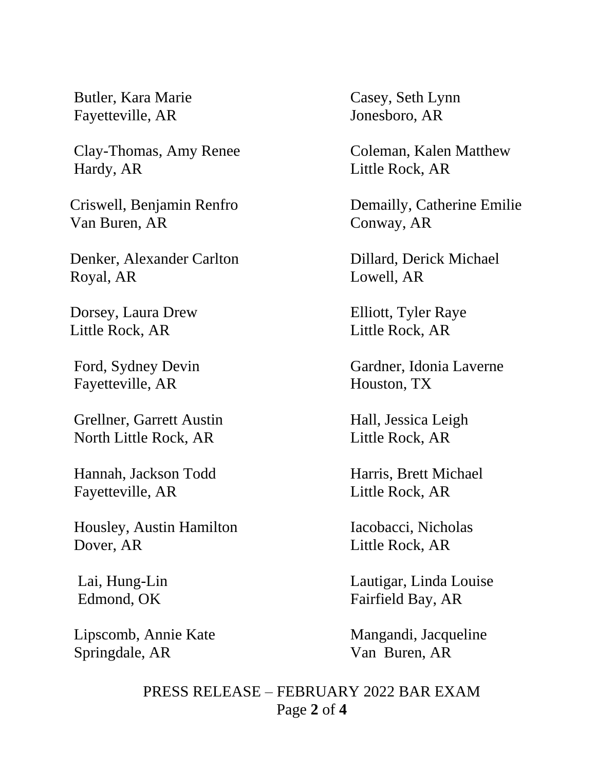Butler, Kara Marie Casey, Seth Lynn Fayetteville, AR Jonesboro, AR

Hardy, AR Little Rock, AR

Van Buren, AR Conway, AR

Denker, Alexander Carlton Dillard, Derick Michael Royal, AR Lowell, AR

Little Rock, AR Little Rock, AR

Fayetteville, AR Houston, TX

Grellner, Garrett Austin Hall, Jessica Leigh North Little Rock, AR Little Rock, AR

Fayetteville, AR Little Rock, AR

Housley, Austin Hamilton Iacobacci, Nicholas Dover, AR Little Rock, AR

Springdale, AR Van Buren, AR

Clay-Thomas, Amy Renee Coleman, Kalen Matthew

Criswell, Benjamin Renfro Demailly, Catherine Emilie

Dorsey, Laura Drew Elliott, Tyler Raye

Ford, Sydney Devin Gardner, Idonia Laverne

Hannah, Jackson Todd Harris, Brett Michael

 Lai, Hung-Lin Lautigar, Linda Louise Edmond, OK Fairfield Bay, AR

Lipscomb, Annie Kate Mangandi, Jacqueline

PRESS RELEASE – FEBRUARY 2022 BAR EXAM Page **2** of **4**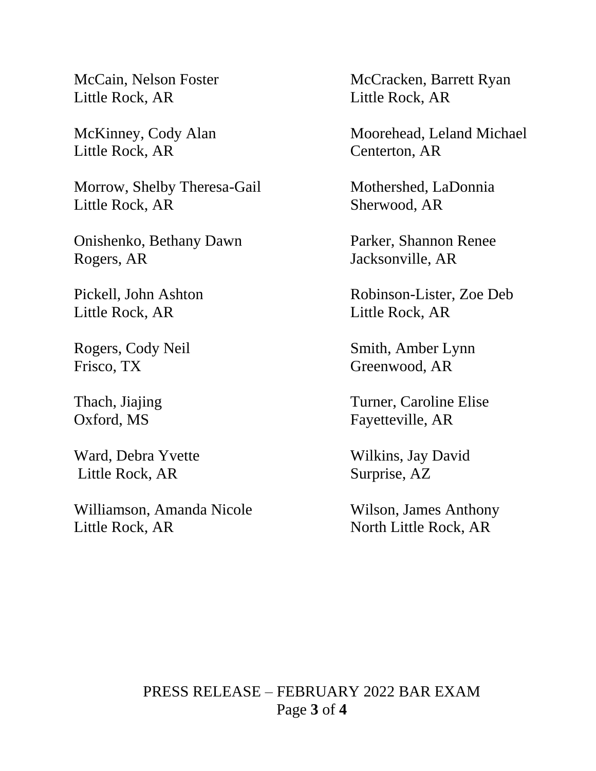Little Rock, AR Little Rock, AR

Little Rock, AR Centerton, AR

Morrow, Shelby Theresa-Gail Mothershed, LaDonnia Little Rock, AR Sherwood, AR

Onishenko, Bethany Dawn Parker, Shannon Renee Rogers, AR Jacksonville, AR

Little Rock, AR Little Rock, AR

Frisco, TX Greenwood, AR

Little Rock, AR Surprise, AZ

Williamson, Amanda Nicole Wilson, James Anthony Little Rock, AR North Little Rock, AR

McCain, Nelson Foster McCracken, Barrett Ryan

McKinney, Cody Alan Moorehead, Leland Michael

Pickell, John Ashton Robinson-Lister, Zoe Deb

Rogers, Cody Neil Smith, Amber Lynn

Thach, Jiajing Turner, Caroline Elise Oxford, MS Fayetteville, AR

Ward, Debra Yvette Wilkins, Jay David

PRESS RELEASE – FEBRUARY 2022 BAR EXAM Page **3** of **4**